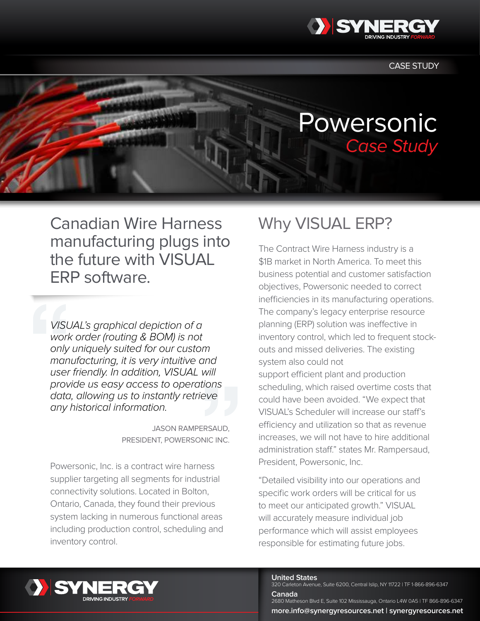

**CASE STUDY** 

# Powersonic Case Study

Canadian Wire Harness manufacturing plugs into the future with VISUAL ERP software.

*VISUAL's graphical depiction of a work order (routing & BOM) is not only uniquely suited for our custom manufacturing, it is very intuitive and user friendly. In addition, VISUAL will provide us easy access to operations data, allowing us to instantly retrieve any historical information.* 

> Jason Rampersaud, President, Powersonic Inc.

Powersonic, Inc. is a contract wire harness supplier targeting all segments for industrial connectivity solutions. Located in Bolton, Ontario, Canada, they found their previous system lacking in numerous functional areas including production control, scheduling and inventory control.

## Why VISUAL ERP?

The Contract Wire Harness industry is a \$1B market in North America. To meet this business potential and customer satisfaction objectives, Powersonic needed to correct inefficiencies in its manufacturing operations. The company's legacy enterprise resource planning (ERP) solution was ineffective in inventory control, which led to frequent stockouts and missed deliveries. The existing system also could not support efficient plant and production scheduling, which raised overtime costs that could have been avoided. "We expect that VISUAL's Scheduler will increase our staff's efficiency and utilization so that as revenue

increases, we will not have to hire additional administration staff." states Mr. Rampersaud, President, Powersonic, Inc.

"Detailed visibility into our operations and specific work orders will be critical for us to meet our anticipated growth." VISUAL will accurately measure individual job performance which will assist employees responsible for estimating future jobs.



#### **United States**

**Canada**

320 Carleton Avenue, Suite 6200, Central Islip, NY 11722 | TF 1-866-896-6347

2680 Matheson Blvd E, Suite 102 Mississauga, Ontario L4W 0A5 | TF 866-896-6347 **more.info@synergyresources.net | synergyresources.net**